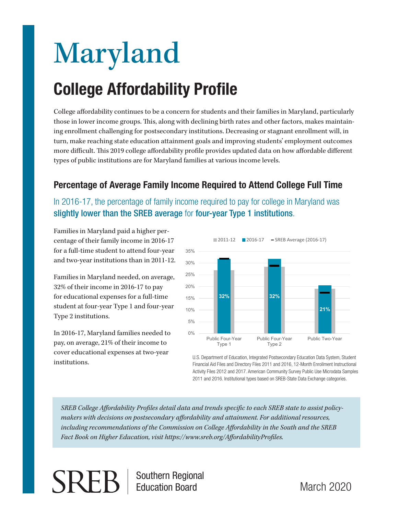# Maryland **College Affordability Profile**

College affordability continues to be a concern for students and their families in Maryland, particularly those in lower income groups. This, along with declining birth rates and other factors, makes maintaining enrollment challenging for postsecondary institutions. Decreasing or stagnant enrollment will, in turn, make reaching state education attainment goals and improving students' employment outcomes more difficult. This 2019 college affordability profile provides updated data on how affordable different types of public institutions are for Maryland families at various income levels.

## **Percentage of Average Family Income Required to Attend College Full Time**

In 2016-17, the percentage of family income required to pay for college in Maryland was slightly lower than the SREB average for four-year Type 1 institutions.

Families in Maryland paid a higher percentage of their family income in 2016-17 for a full-time student to attend four-year and two-year institutions than in 2011-12.

Families in Maryland needed, on average, 32% of their income in 2016-17 to pay for educational expenses for a full-time student at four-year Type 1 and four-year Type 2 institutions.

In 2016-17, Maryland families needed to pay, on average, 21% of their income to cover educational expenses at two-year institutions.



U.S. Department of Education, Integrated Postsecondary Education Data System, Student Financial Aid Files and Directory Files 2011 and 2016, 12-Month Enrollment Instructional Activity Files 2012 and 2017. American Community Survey Public Use Microdata Samples 2011 and 2016. Institutional types based on SREB-State Data Exchange categories.

*SREB College Affordability Profiles detail data and trends specific to each SREB state to assist policymakers with decisions on postsecondary affordability and attainment. For additional resources, including recommendations of the Commission on College Affordability in the South and the SREB Fact Book on Higher Education, visit https://www.sreb.org/AffordabilityProfiles.*

**SREI** 

Southern Regional Education Board

March 2020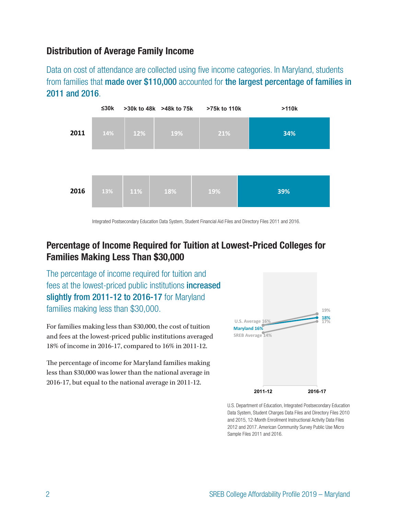#### **Distribution of Average Family Income**

Data on cost of attendance are collected using five income categories. In Maryland, students from families that **made over \$110,000** accounted for **the largest percentage of families in** 2011 and 2016.



Integrated Postsecondary Education Data System, Student Financial Aid Files and Directory Files 2011 and 2016.

## **Percentage of Income Required for Tuition at Lowest-Priced Colleges for Families Making Less Than \$30,000**

The percentage of income required for tuition and fees at the lowest-priced public institutions increased slightly from 2011-12 to 2016-17 for Maryland families making less than \$30,000.

For families making less than \$30,000, the cost of tuition and fees at the lowest-priced public institutions averaged 18% of income in 2016-17, compared to 16% in 2011-12. **19%**

The percentage of income for Maryland families making **U.S. Average 16% 17%** less than \$30,000 was lower than the national average in 2016-17, but equal to the national average in 2011-12.



U.S. Department of Education, Integrated Postsecondary Education Data System, Student Charges Data Files and Directory Files 2010 and 2015, 12-Month Enrollment Instructional Activity Data Files 2012 and 2017. American Community Survey Public Use Micro Sample Files 2011 and 2016.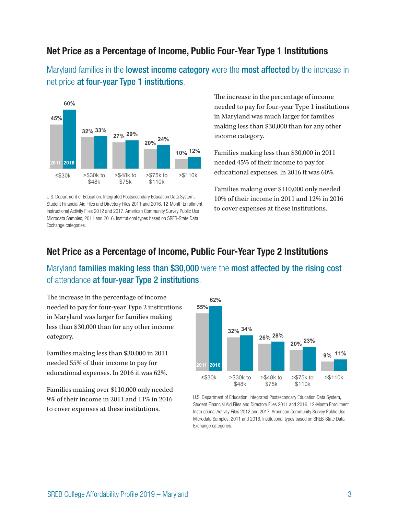#### **Net Price as a Percentage of Income, Public Four-Year Type 1 Institutions**

Maryland families in the **lowest income category** were the **most affected** by the increase in net price at four-year Type 1 institutions.



U.S. Department of Education, Integrated Postsecondary Education Data System, Student Financial Aid Files and Directory Files 2011 and 2016, 12-Month Enrollment Instructional Activity Files 2012 and 2017. American Community Survey Public Use Microdata Samples, 2011 and 2016. Institutional types based on SREB-State Data Exchange categories.

The increase in the percentage of income needed to pay for four-year Type 1 institutions in Maryland was much larger for families making less than \$30,000 than for any other income category.

Families making less than \$30,000 in 2011 needed 45% of their income to pay for educational expenses. In 2016 it was 60%. **32% 33% 29%**

Families making over \$110,000 only needed **20%** 10% of their income in 2011 and 12% in 2016 **10%** to cover expenses at these institutions. **12%**

#### **Net Price as a Percentage of Income, Public Four-Year Type 2 Institutions**

Maryland families making less than \$30,000 were the most affected by the rising cost **55%** of attendance at four-year Type 2 institutions.

The increase in the percentage of income **26% 28%** needed to pay for four-year Type 2 institutions in Maryland was larger for families making less than \$30,000 than for any other income category.  $\mathbf{m}$  $\mathbf{c}$ 

Families making less than \$30,000 in 2011 needed 55% of their income to pay for educational expenses. In 2016 it was 62%.

Families making over \$110,000 only needed 9% of their income in 2011 and 11% in 2016 to cover expenses at these institutions.



U.S. Department of Education, Integrated Postsecondary Education Data System, Student Financial Aid Files and Directory Files 2011 and 2016, 12-Month Enrollment Instructional Activity Files 2012 and 2017. American Community Survey Public Use Microdata Samples, 2011 and 2016. Institutional types based on SREB-State Data Exchange categories.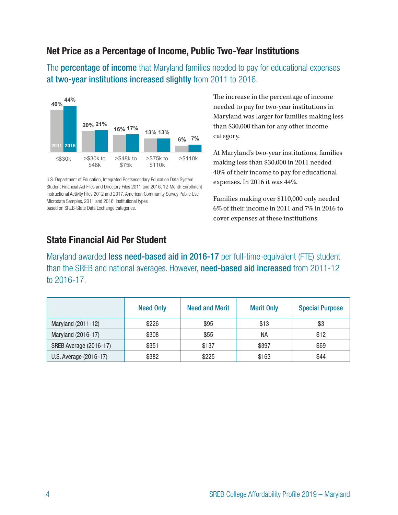#### **Net Price as a Percentage of Income, Public Two-Year Institutions**

The **percentage of income** that Maryland families needed to pay for educational expenses at two-year institutions increased slightly from 2011 to 2016.



U.S. Department of Education, Integrated Postsecondary Education Data System, Student Financial Aid Files and Directory Files 2011 and 2016, 12-Month Enrollment Instructional Activity Files 2012 and 2017. American Community Survey Public Use Microdata Samples, 2011 and 2016. Institutional types based on SREB-State Data Exchange categories.

The increase in the percentage of income needed to pay for two-year institutions in Maryland was larger for families making less than \$30,000 than for any other income category.

At Maryland's two-year institutions, families making less than \$30,000 in 2011 needed 40% of their income to pay for educational expenses. In 2016 it was 44%.

Families making over \$110,000 only needed 6% of their income in 2011 and 7% in 2016 to cover expenses at these institutions.

#### **State Financial Aid Per Student**

Maryland awarded less need-based aid in 2016-17 per full-time-equivalent (FTE) student than the SREB and national averages. However, need-based aid increased from 2011-12 to 2016-17.

|                        | <b>Need Only</b> | <b>Need and Merit</b> | <b>Merit Only</b> | <b>Special Purpose</b> |
|------------------------|------------------|-----------------------|-------------------|------------------------|
| Maryland (2011-12)     | \$226            | \$95                  | \$13              | \$3                    |
| Maryland (2016-17)     | \$308            | \$55                  | <b>NA</b>         | \$12                   |
| SREB Average (2016-17) | \$351            | \$137                 | \$397             | \$69                   |
| U.S. Average (2016-17) | \$382            | \$225                 | \$163             | \$44                   |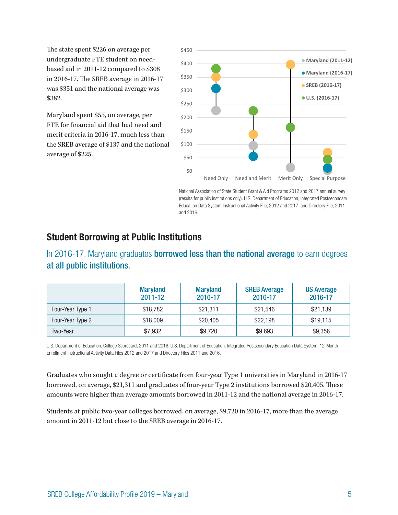The state spent \$226 on average per undergraduate FTE student on needbased aid in 2011-12 compared to \$308 in 2016-17. The SREB average in 2016-17 was \$351 and the national average was \$382.

Maryland spent \$55, on average, per FTE for financial aid that had need and merit criteria in 2016-17, much less than the SREB average of \$137 and the national average of \$225.



National Association of State Student Grant & Aid Programs 2012 and 2017 annual survey (results for public institutions only). U.S. Department of Education, Integrated Postsecondary Education Data System Instructional Activity File, 2012 and 2017, and Directory File, 2011 and 2016.

#### **Student Borrowing at Public Institutions**

In 2016-17, Maryland graduates **borrowed less than the national average** to earn degrees at all public institutions.

|                  | <b>Maryland</b><br>$2011 - 12$ | <b>Maryland</b><br>2016-17 | <b>SREB Average</b><br>2016-17 | <b>US Average</b><br>2016-17 |
|------------------|--------------------------------|----------------------------|--------------------------------|------------------------------|
| Four-Year Type 1 | \$18,782                       | \$21,311                   | \$21,546                       | \$21,139                     |
| Four-Year Type 2 | \$18,009                       | \$20,405                   | \$22,198                       | \$19,115                     |
| Two-Year         | \$7,932                        | \$9,720                    | \$9,693                        | \$9,356                      |

U.S. Department of Education, College Scorecard, 2011 and 2016. U.S. Department of Education, Integrated Postsecondary Education Data System, 12-Month Enrollment Instructional Activity Data Files 2012 and 2017 and Directory Files 2011 and 2016.

Graduates who sought a degree or certificate from four-year Type 1 universities in Maryland in 2016-17 borrowed, on average, \$21,311 and graduates of four-year Type 2 institutions borrowed \$20,405. These amounts were higher than average amounts borrowed in 2011-12 and the national average in 2016-17.

Students at public two-year colleges borrowed, on average, \$9,720 in 2016-17, more than the average amount in 2011-12 but close to the SREB average in 2016-17.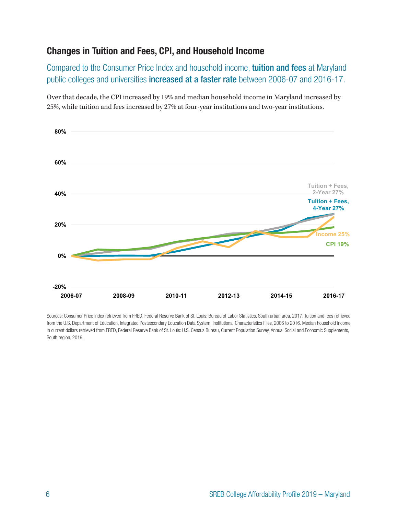## **Changes in Tuition and Fees, CPI, and Household Income**

Compared to the Consumer Price Index and household income, tuition and fees at Maryland public colleges and universities increased at a faster rate between 2006-07 and 2016-17.

Over that decade, the CPI increased by 19% and median household income in Maryland increased by 25%, while tuition and fees increased by 27% at four-year institutions and two-year institutions.



Sources: Consumer Price Index retrieved from FRED, Federal Reserve Bank of St. Louis: Bureau of Labor Statistics, South urban area, 2017. Tuition and fees retrieved from the U.S. Department of Education, Integrated Postsecondary Education Data System, Institutional Characteristics Files, 2006 to 2016. Median household income in current dollars retrieved from FRED, Federal Reserve Bank of St. Louis: U.S. Census Bureau, Current Population Survey, Annual Social and Economic Supplements, South region, 2019.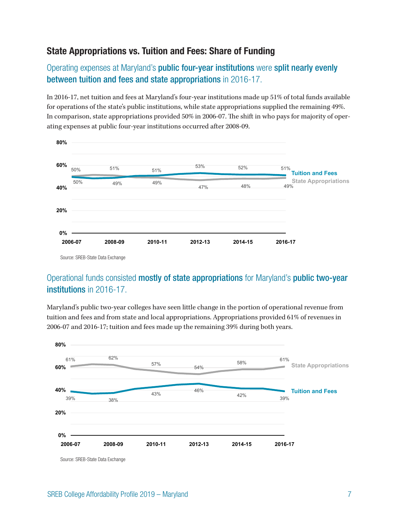### **State Appropriations vs. Tuition and Fees: Share of Funding**

Operating expenses at Maryland's public four-year institutions were split nearly evenly between tuition and fees and state appropriations in 2016-17.

In 2016-17, net tuition and fees at Maryland's four-year institutions made up 51% of total funds available for operations of the state's public institutions, while state appropriations supplied the remaining 49%. In comparison, state appropriations provided 50% in 2006-07. The shift in who pays for majority of operating expenses at public four-year institutions occurred after 2008-09.



**20%** Source: SREB-State Data Exchange

#### Operational funds consisted mostly of state appropriations for Maryland's public two-year **0% 2006 2006-0711 <b>2016-17 2016-17 2016-0712 2016-0712 2016**

61% 62% Maryland's public two-year colleges have seen little change in the portion of operational revenue from nate seem note enange in the person or eperadic **60%** tuition and fees and from state and local appropriations. Appropriations provided 61% of revenues in 2006-07 and 2016-17; tuition and fees made up the remaining 39% during both years.

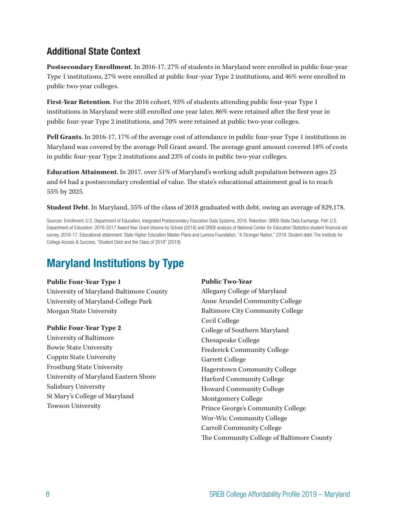#### **Additional State Context**

**Postsecondary Enrollment**. In 2016-17, 27% of students in Maryland were enrolled in public four-year Type 1 institutions, 27% were enrolled at public four-year Type 2 institutions, and 46% were enrolled in public two-year colleges.

**First-Year Retention**. For the 2016 cohort, 93% of students attending public four-year Type 1 institutions in Maryland were still enrolled one year later, 86% were retained after the first year in public four-year Type 2 institutions, and 70% were retained at public two-year colleges.

**Pell Grants**. In 2016-17, 17% of the average cost of attendance in public four-year Type 1 institutions in Maryland was covered by the average Pell Grant award. The average grant amount covered 18% of costs in public four-year Type 2 institutions and 23% of costs in public two-year colleges.

**Education Attainment**. In 2017, over 51% of Maryland's working adult population between ages 25 and 64 had a postsecondary credential of value. The state's educational attainment goal is to reach 55% by 2025.

**Student Debt**. In Maryland, 55% of the class of 2018 graduated with debt, owing an average of \$29,178.

Sources: Enrollment: U.S. Department of Education, Integrated Postsecondary Education Data Systems, 2016. Retention: SREB-State Data Exchange. Pell: U.S. Department of Education: 2016-2017 Award Year Grant Volume by School (2018) and SREB analysis of National Center for Education Statistics student financial aid survey, 2016-17. Educational attainment: State Higher Education Master Plans and Lumina Foundation, "A Stronger Nation," 2019. Student debt: The Institute for College Access & Success,"Student Debt and the Class of 2018" (2019).

## **Maryland Institutions by Type**

#### **Public Four-Year Type 1**

University of Maryland-Baltimore County University of Maryland-College Park Morgan State University

#### **Public Four-Year Type 2**

University of Baltimore Bowie State University Coppin State University Frostburg State University University of Maryland Eastern Shore Salisbury University St Mary's College of Maryland Towson University

#### **Public Two-Year**

Allegany College of Maryland Anne Arundel Community College Baltimore City Community College Cecil College College of Southern Maryland Chesapeake College Frederick Community College Garrett College Hagerstown Community College Harford Community College Howard Community College Montgomery College Prince George's Community College Wor-Wic Community College Carroll Community College The Community College of Baltimore County